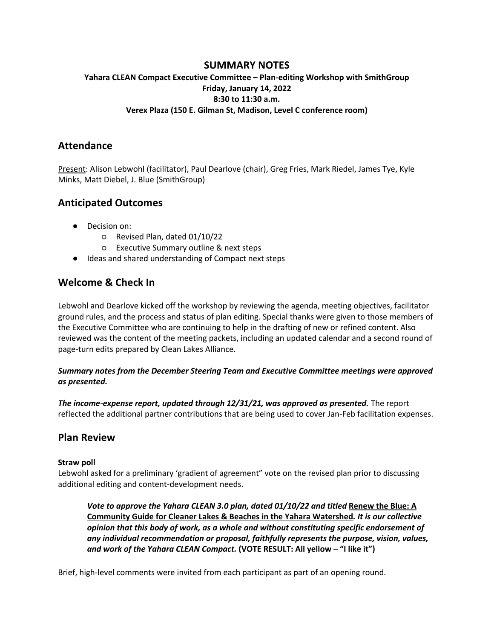## **SUMMARY NOTES**

### **Yahara CLEAN Compact Executive Committee – Plan-editing Workshop with SmithGroup Friday, January 14, 2022 8:30 to 11:30 a.m. Verex Plaza (150 E. Gilman St, Madison, Level C conference room)**

## **Attendance**

Present: Alison Lebwohl (facilitator), Paul Dearlove (chair), Greg Fries, Mark Riedel, James Tye, Kyle Minks, Matt Diebel, J. Blue (SmithGroup)

# **Anticipated Outcomes**

- Decision on:
	- Revised Plan, dated 01/10/22
	- Executive Summary outline & next steps
- Ideas and shared understanding of Compact next steps

# **Welcome & Check In**

Lebwohl and Dearlove kicked off the workshop by reviewing the agenda, meeting objectives, facilitator ground rules, and the process and status of plan editing. Special thanks were given to those members of the Executive Committee who are continuing to help in the drafting of new or refined content. Also reviewed was the content of the meeting packets, including an updated calendar and a second round of page-turn edits prepared by Clean Lakes Alliance.

#### *Summary notes from the December Steering Team and Executive Committee meetings were approved as presented.*

*The income-expense report, updated through 12/31/21, was approved as presented.* The report reflected the additional partner contributions that are being used to cover Jan-Feb facilitation expenses.

## **Plan Review**

#### **Straw poll**

Lebwohl asked for a preliminary 'gradient of agreement" vote on the revised plan prior to discussing additional editing and content-development needs.

*Vote to approve the Yahara CLEAN 3.0 plan, dated 01/10/22 and titled Renew the Blue: A* **Community Guide for Cleaner Lakes & Beaches in the Yahara Watershed***. It is our collective opinion that this body of work, as a whole and without constituting specific endorsement of any individual recommendation or proposal, faithfully represents the purpose, vision, values, and work of the Yahara CLEAN Compact.* **(VOTE RESULT: All yellow – "I like it")**

Brief, high-level comments were invited from each participant as part of an opening round.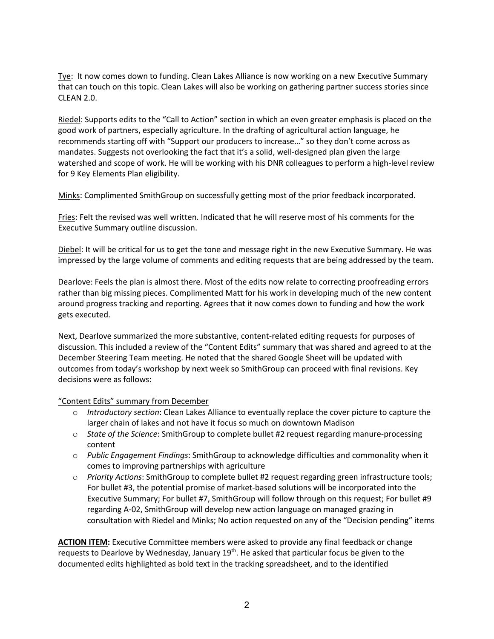Tye: It now comes down to funding. Clean Lakes Alliance is now working on a new Executive Summary that can touch on this topic. Clean Lakes will also be working on gathering partner success stories since CLEAN 2.0.

Riedel: Supports edits to the "Call to Action" section in which an even greater emphasis is placed on the good work of partners, especially agriculture. In the drafting of agricultural action language, he recommends starting off with "Support our producers to increase…" so they don't come across as mandates. Suggests not overlooking the fact that it's a solid, well-designed plan given the large watershed and scope of work. He will be working with his DNR colleagues to perform a high-level review for 9 Key Elements Plan eligibility.

Minks: Complimented SmithGroup on successfully getting most of the prior feedback incorporated.

Fries: Felt the revised was well written. Indicated that he will reserve most of his comments for the Executive Summary outline discussion.

Diebel: It will be critical for us to get the tone and message right in the new Executive Summary. He was impressed by the large volume of comments and editing requests that are being addressed by the team.

Dearlove: Feels the plan is almost there. Most of the edits now relate to correcting proofreading errors rather than big missing pieces. Complimented Matt for his work in developing much of the new content around progress tracking and reporting. Agrees that it now comes down to funding and how the work gets executed.

Next, Dearlove summarized the more substantive, content-related editing requests for purposes of discussion. This included a review of the "Content Edits" summary that was shared and agreed to at the December Steering Team meeting. He noted that the shared Google Sheet will be updated with outcomes from today's workshop by next week so SmithGroup can proceed with final revisions. Key decisions were as follows:

"Content Edits" summary from December

- o *Introductory section*: Clean Lakes Alliance to eventually replace the cover picture to capture the larger chain of lakes and not have it focus so much on downtown Madison
- o *State of the Science*: SmithGroup to complete bullet #2 request regarding manure-processing content
- o *Public Engagement Findings*: SmithGroup to acknowledge difficulties and commonality when it comes to improving partnerships with agriculture
- o *Priority Actions*: SmithGroup to complete bullet #2 request regarding green infrastructure tools; For bullet #3, the potential promise of market-based solutions will be incorporated into the Executive Summary; For bullet #7, SmithGroup will follow through on this request; For bullet #9 regarding A-02, SmithGroup will develop new action language on managed grazing in consultation with Riedel and Minks; No action requested on any of the "Decision pending" items

**ACTION ITEM:** Executive Committee members were asked to provide any final feedback or change requests to Dearlove by Wednesday, January 19<sup>th</sup>. He asked that particular focus be given to the documented edits highlighted as bold text in the tracking spreadsheet, and to the identified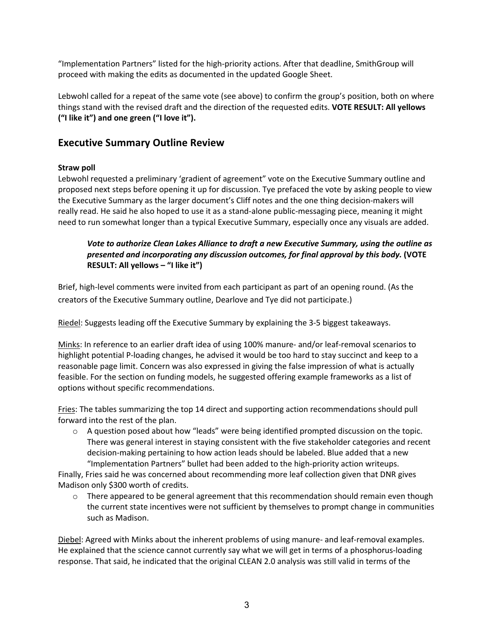"Implementation Partners" listed for the high-priority actions. After that deadline, SmithGroup will proceed with making the edits as documented in the updated Google Sheet.

Lebwohl called for a repeat of the same vote (see above) to confirm the group's position, both on where things stand with the revised draft and the direction of the requested edits. **VOTE RESULT: All yellows ("I like it") and one green ("I love it").** 

# **Executive Summary Outline Review**

### **Straw poll**

Lebwohl requested a preliminary 'gradient of agreement" vote on the Executive Summary outline and proposed next steps before opening it up for discussion. Tye prefaced the vote by asking people to view the Executive Summary as the larger document's Cliff notes and the one thing decision-makers will really read. He said he also hoped to use it as a stand-alone public-messaging piece, meaning it might need to run somewhat longer than a typical Executive Summary, especially once any visuals are added.

### *Vote to authorize Clean Lakes Alliance to draft a new Executive Summary, using the outline as presented and incorporating any discussion outcomes, for final approval by this body.* **(VOTE RESULT: All yellows – "I like it")**

Brief, high-level comments were invited from each participant as part of an opening round. (As the creators of the Executive Summary outline, Dearlove and Tye did not participate.)

Riedel: Suggests leading off the Executive Summary by explaining the 3-5 biggest takeaways.

Minks: In reference to an earlier draft idea of using 100% manure- and/or leaf-removal scenarios to highlight potential P-loading changes, he advised it would be too hard to stay succinct and keep to a reasonable page limit. Concern was also expressed in giving the false impression of what is actually feasible. For the section on funding models, he suggested offering example frameworks as a list of options without specific recommendations.

Fries: The tables summarizing the top 14 direct and supporting action recommendations should pull forward into the rest of the plan.

 $\circ$  A question posed about how "leads" were being identified prompted discussion on the topic. There was general interest in staying consistent with the five stakeholder categories and recent decision-making pertaining to how action leads should be labeled. Blue added that a new "Implementation Partners" bullet had been added to the high-priority action writeups.

Finally, Fries said he was concerned about recommending more leaf collection given that DNR gives Madison only \$300 worth of credits.

 $\circ$  There appeared to be general agreement that this recommendation should remain even though the current state incentives were not sufficient by themselves to prompt change in communities such as Madison.

Diebel: Agreed with Minks about the inherent problems of using manure- and leaf-removal examples. He explained that the science cannot currently say what we will get in terms of a phosphorus-loading response. That said, he indicated that the original CLEAN 2.0 analysis was still valid in terms of the